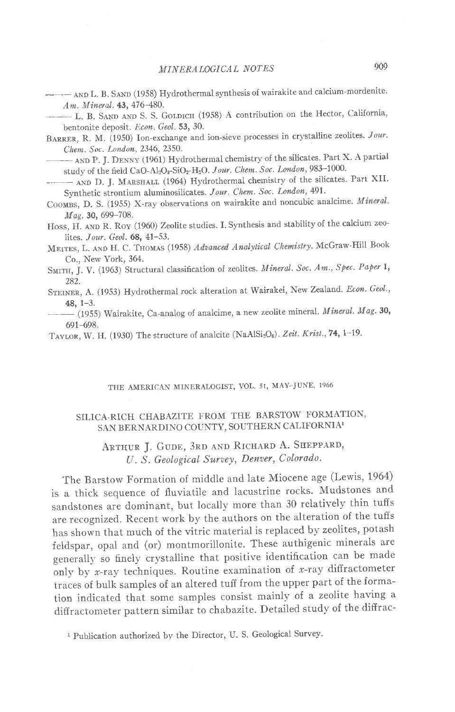- AND L. B. SAND (1958) Hydrothermal synthesis of wairakite and calcium-mordenite. Am. Mineral. 43, 476-480.

- L. B. SAND AND S. S. GOLDICH (1958) A contribution on the Hector, California, bentonite deposit. Econ. Geol. 53, 30.

BARRER, R. M. (1950) Ion-exchange and ion-sieve processes in crystalline zeolites. Jour. Chem. Soc. London, 2346, 2350.

- AND P. J. DENNY (1961) Hydrothermal chemistry of the silicates. Part X. A partial study of the field CaO-Al<sub>2</sub>O<sub>3</sub>-SiO<sub>2</sub>-H<sub>2</sub>O. Jour. Chem. Soc. London, 983-1000.

- AND D. J. MARSHALL (1964) Hydrothermal chemistry of the silicates. Part XII. Synthetic strontium aluminosilicates. Jour. Chem. Soc. London, 491.

COOMBS, D. S. (1955) X-ray observations on wairakite and noncubic analcime. Mineral. Mag. 30, 699-708.

Hoss, H. AND R. Roy (1960) Zeolite studies. I. Synthesis and stability of the calcium zeolites. Jour. Geol. 68, 41-53.

MEITES, L. AND H. C. THOMAS (1958) Advanced Analytical Chemistry. McGraw-Hill Book Co., New York, 364.

SMITH, J. V. (1963) Structural classification of zeolites. Mineral. Soc. Am., Spec. Paper 1, 282.

STEINER, A. (1953) Hydrothermal rock alteration at Wairakei, New Zealand. Econ. Geol.,  $48, 1-3.$ 

- (1955) Wairakite, Ca-analog of analcime, a new zeolite mineral. Mineral. Mag. 30,  $691 - 698.$ 

TAYLOR, W. H. (1930) The structure of analcite (NaAlSi<sub>2</sub>O<sub>6</sub>). Zeit. Krist., 74, 1-19.

### THE AMERICAN MINERALOGIST, VOL. 51, MAY-JUNE. 1966

### SILICA-RICH CHABAZITE FROM THE BARSTOW FORMATION, SAN BERNARDINO COUNTY, SOUTHERN CALIFORNIA1

# ARTHUR J. GUDE, 3RD AND RICHARD A. SHEPPARD, U. S. Geological Survey, Denver, Colorado.

The Barstow Formation of middle and late Miocene age (Lewis, 1964) is a thick sequence of fluviatile and lacustrine rocks. Mudstones and sandstones are dominant, but locally more than 30 relatively thin tuffs are recognized. Recent work by the authors on the alteration of the tuffs has shown that much of the vitric material is replaced by zeolites, potash feldspar, opal and (or) montmorillonite. These authigenic minerals are generally so finely crystalline that positive identification can be made only by x-ray techniques. Routine examination of x-ray diffractometer traces of bulk samples of an altered tuff from the upper part of the formation indicated that some samples consist mainly of a zeolite having a diffractometer pattern similar to chabazite. Detailed study of the diffrac-

<sup>1</sup> Publication authorized by the Director, U.S. Geological Survey.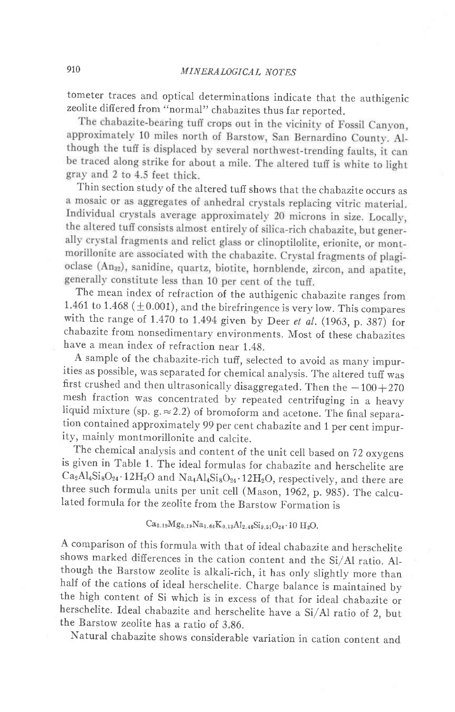tometer traces and optical determinations indicate that the authigenic zeolite differed from "normal" chabazites thus far reported.<br>The chabazite-bearing tuff crops out in the vicinity of Fossil Canyon,

approximately 10 miles north of Barstow, San Bernardino County. Although the tuff is displaced by several northwest-trending faults, it can be traced along strike for about a mile. The altered tuff is white to light gray and 2 to 4.5 feet thick.

Thin section study of the altered tuff shows that the chabazite occurs as a mosaic or as aggregates of anhedral crystals replacing vitric material. Individual crystals average approximately 20 microns in size. Locally, the altered tuff consists almost entirely of silica-rich chabazite, but generally crystal fragments and relict glass or clinoptilolite, erionite, or montmorillonite are associated with the chabazite. Crystal fragments of plagioclase (An<sub>32</sub>), sanidine, quartz, biotite, hornblende, zircon, and apatite, generally constitute less than 10 per cent of the tuff.

The mean index of refraction of the authigenic chabazite ranges from 1.461 to 1.468 ( $\pm$ 0.001), and the birefringence is very low. This compares with the range of 1.470 to 1.494 given by Deer et al.  $(1963, p. 387)$  for chabazite from nonsedimentary environments. Most of these chabazites have a mean index of refraction near 1.4g.

A sample of the chabazite-rich tuff, selected to avoid as many impurities as possible, was separated for chemical analysis. The altered tuff was first crushed and then ultrasonically disaggregated. Then the  $-100+270$ mesh fraction was concentrated by repeated centrifuging in a heavy liquid mixture (sp. g.  $\approx$  2.2) of bromoform and acetone. The final separation contained approximately 99 per cent chabazite and 1 per cent impurity, mainly montmorillonite and calcite.

The chemical analysis and content of the unit cell based on 72 oxygens is given in Table 1. The ideal formulas for chabazite and herschelite are  $Ca_2Al_4Si_8O_{24}\cdot12H_2O$  and  $Na_4Al_4Si_8O_{24}\cdot12H_2O$ , respectively, and there are three such formula units per unit cell (Mason, 1962, p. 985). The calculated formula for the zeolite from the Barstow Formation is

 $Ca_{0.19}Mg_{0.19}Na_{1.64}K_{0.13}Al_{2.46}Si_{9.51}O_{24}\cdot 10 \text{ H}_{2}O.$ 

A comparison of this formula with that of ideal chabazite and herschelite shows marked differences in the cation content and the si/Al ratio. Although the Barstow zeolite is alkali-rich, it has only slightly more than half of the cations of ideal herschelite. charge balance is maintained by the high content of si which is in excess of that for ideal chabazite or herschelite. Ideal chabazite and herschelite have a Si/Al ratio of 2, but the Barstow zeolite has a ratio of 3.g6.

Natural chabazite shows considerable variation in cation content and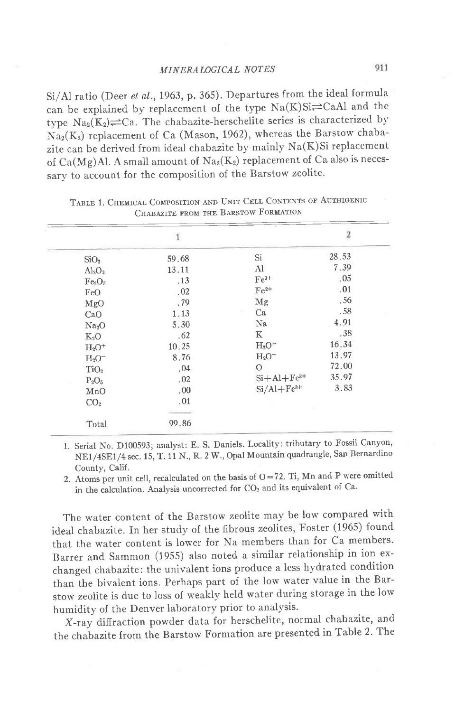si/Al ratio (Deer et al.,1963, p. 365). Departures from the ideal formula can be explained by replacement of the type  $Na(K)Si\rightleftharpoons CaAl$  and the type  $\text{Na}_2(K_2) \rightleftharpoons \text{Ca}$ . The chabazite-herschelite series is characterized by  $Na<sub>2</sub>(K<sub>2</sub>)$  replacement of Ca (Mason, 1962), whereas the Barstow chabazite can be derived from ideal chabazite by mainly  $Na(K)Si$  replacement of  $Ca(Mg)$ Al. A small amount of  $Na_2(K_2)$  replacement of Ca also is necessary to account for the composition of the Barstow zeolite.

|                                | $\mathbf{1}$ |                | $\overline{\mathbf{c}}$ |  |
|--------------------------------|--------------|----------------|-------------------------|--|
| SiO <sub>2</sub>               | 59.68        | Si             | 28.53                   |  |
| $Al_2O_3$                      | 13.11        | Al             | 7.39                    |  |
| Fe <sub>2</sub> O <sub>3</sub> | .13          | $Fe3+$         | .05                     |  |
| FeO                            | .02          | $Fe2+$         | .01                     |  |
| MgO                            | .79          | Mg             | .56                     |  |
| CaO                            | 1.13         | Ca             | .58                     |  |
| Na <sub>2</sub> O              | 5.30         | Na             | 4.91                    |  |
| $K_2O$                         | .62          | K              | .38                     |  |
| $H_2O^+$                       | 10.25        | $H_2O^+$       | 16.34                   |  |
| $H_2O^-$                       | 8.76         | $H_2O^-$       | 13.97                   |  |
| TiO <sub>2</sub>               | .04          | $\Omega$       | 72.00                   |  |
| $P_2O_5$                       | .02          | $Si+Al+Fe3+$   | 35.97                   |  |
| MnO                            | .00          | $Si/Al + Fe3+$ | 3.83                    |  |
| CO <sub>2</sub>                | .01          |                |                         |  |
| Total                          | 99.86        |                |                         |  |

TABLE 1. CHEMICAL COMPOSITION AND UNIT CELL CONTENTS OF AUTHIGENIC Chabazite from the I

1. Serial No. D100593; analyst: E. S. Daniels. Locality: tributary to Fossil canyon, NE1/4SE1/4 sec. 15, T. 11 N., R. 2 W., Opal Mountain quadrangle, San Bernardino County, Calif.

2. Atoms per unit cell, recalculated on the basis of  $O=72$ . Ti, Mn and P were omitted in the calculation. Analysis uncorrected for  $CO<sub>2</sub>$  and its equivalent of Ca.

The water content of the Barstow zeolite may be low compared with ideal chabazite. In her study of the fibrous zeolites, Foster (1965) found that the water content is lower for Na members than for Ca members. Barrer and Sammon (1955) also noted a similar relationship in ion exchanged chabazite: the univalent ions produce a less hydrated condition than the bivalent ions. Perhaps part of the low water value in the Barstow zeolite is due to loss of weakly held water during storage in the low humidity of the Denver laboratory prior to analysis.

x-ray difiraction powder data for herschelite, normal chabazite, and the chabazite from the Barstow Formation are presented in Table 2. The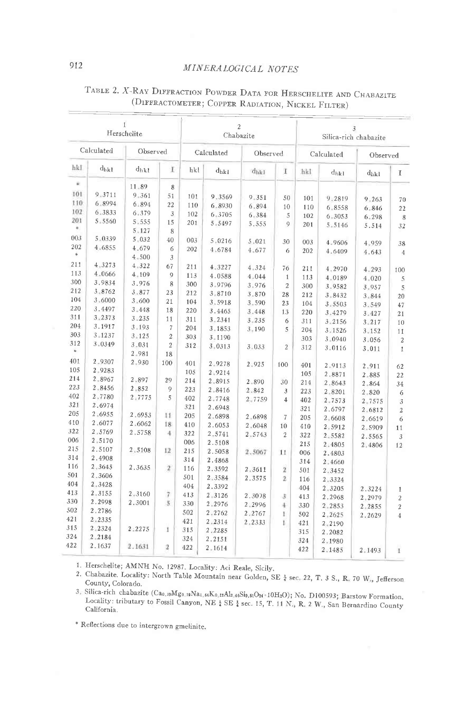## MINERALOGICAL NOTES

| $\mathbf{I}$<br>Herschelite |                  | $\overline{2}$<br>Chabazite |                |            |                  |            | 3<br>Silica-rich chabazite |            |           |           |                |
|-----------------------------|------------------|-----------------------------|----------------|------------|------------------|------------|----------------------------|------------|-----------|-----------|----------------|
| Calculated<br>Observed      |                  | Calculated                  |                | Observed   |                  | Calculated |                            | Observed   |           |           |                |
| hkl                         | $d_{hkl}$        | $d_{hkl}$                   | I              | hkl        | $d_{hk1}$        | $d_{hk1}$  | T                          | hkl        | $d_{hkl}$ | $d_{hkl}$ | I              |
| Ŵ.                          |                  | 11.89                       | 8              |            |                  |            |                            |            |           |           |                |
| 101                         | 9.3711           | 9.361                       | 51             | 101        | 9.3569           | 9.351      | 50                         |            |           |           |                |
| 110                         | 6.8994           | 6.894                       | 22             | 110        | 6.8930           | 6.894      | 10                         | 101        | 9.2819    | 9.263     | 70             |
| 102                         | 6.3833           | 6.379                       | 3              | 102        | 6.3705           | 6.384      | 5                          | 110<br>102 | 6.8558    | 6.846     | 22             |
| 201                         | 5.5560           | 5.555                       | 15             | 201        | 5.5497           | 5.555      | 9                          |            | 6.3053    | 6.298     | 8              |
| ٠                           |                  | 5.127                       | 8              |            |                  |            |                            | 201        | 5.5146    | 5.514     | 32             |
| 003                         | 5.0339           | 5.032                       | 40             | 003        | 5.0216           | 5.021      | 30                         |            |           |           |                |
| 202                         | 4.6855           | 4.679                       | 6              | 202        | 4.6784           | 4.677      |                            | 003        | 4.9606    | 4.959     | 38             |
| \$                          |                  | $4 - 500$                   | 3              |            |                  |            | 6                          | 202        | 4.6409    | 4.643     | $\overline{4}$ |
| 211                         | $4 - 3273$       | 4.322                       | 67             | 211        | 4.3227           | 4.324      |                            |            |           |           |                |
| 113                         | 4.0666           | 4.109                       | 9              | 113        | 4.0588           | 4.044      | 76                         | 211        | 4.2970    | 4.293     | 100            |
| 300                         | 3.9834           | 3.976                       | 8              | 300        | 3.9796           |            | $\mathbf{1}$               | 113        | 4.0189    | 4.020     | 5              |
| 212                         | 3.8762           | 3.877                       | 23             | 212        | 3.8710           | 3.976      | $\overline{2}$             | 300        | 3.9582    | 3.957     | 5              |
| 104                         | 3.6000           | 3.600                       | 21             | 104        | 3.5918           | 3.870      | 28                         | 212        | 3.8432    | 3.844     | 20             |
| 220                         | 3.4497           | $3 - 448$                   | 18             | 220        |                  | 3.590      | 23                         | 104        | 3.5503    | 3.549     | 47             |
| 311                         | 3.2373           | 3.235                       | 11             | 311        | 3.4465<br>3.2341 | 3.448      | 13                         | 220        | 3.4279    | 3.427     | 21             |
| 204                         | 3.1917           | $3 - 193$                   | 7              | 204        |                  | $3 - 235$  | 6                          | 311        | 3.2156    | 3.217     | 10             |
| 303                         | 3.1237           | $3 - 125$                   | $\overline{2}$ | 303        | 3.1853           | $3 - 190$  | 5                          | 204        | 3.1526    | 3.152     | 11             |
| 312                         | 3.0349           | $3 - 031$                   | $\overline{2}$ | 312        | 3.1190           |            |                            | 303        | 3.0940    | 3.056     | $\overline{2}$ |
|                             |                  | 2.981                       | 18             |            | 3.0313           | 3.033      | $\overline{2}$             | 312        | 3.0116    | 3.011     | $\mathbf{1}$   |
| 401                         | 2.9307           | 2.930                       | 100            | 401        |                  |            |                            |            |           |           |                |
| 105                         | 2.9283           |                             |                | 105        | 2.9278           | 2.925      | 100                        | 401        | 2.9113    | 2.911     | 62             |
| 214                         | 2.8967           | 2.897                       | 29             | 214        | 2.9214           |            |                            | 105        | 2.8871    | 2.885     | 22             |
| 223                         | 2.8456           | 2,852                       | 9              | 223        | 2.8915           | 2.890      | 30                         | 214        | 2.8643    | 2.864     | 34             |
| 402                         | 2.7780           | 2.7775                      | 5              | 402        | 2.8416           | 2.842      | 3                          | 223        | 2.8201    | 2.820     | 6              |
| 321                         | 2.6974           |                             |                |            | 2.7748           | 2.7759     | $\overline{4}$             | 402        | 2.7573    | 2.7575    | 3              |
| 205                         | 2:6955           | 2.6953                      | 11             | 321<br>205 | 2.6948           |            |                            | 321        | 2.6797    | 2.6812    | $\overline{2}$ |
| 410                         | 2.6077           | 2.6062                      | 18             |            | 2.6898           | 2.6898     | 7                          | 205        | 2,6608    | 2.6619    | 6              |
| 322                         | 2,5769           | 2.5758                      | 4              | 410        | 2.6053           | 2.6048     | 10                         | 410        | 2.5912    | 2.5909    | 11             |
| 006                         | 2.5170           |                             |                | 322        | 2.5741           | 2.5743     | $\overline{2}$             | 322        | 2.5582    | 2.5565    | 3              |
| 215                         | 2.5107           | 2.5108                      |                | 006        | 2.5108           |            |                            | 215        | 2.4805    | 2.4806    | 12             |
| 314                         | 2.4908           |                             | 12             | 215        | 2.5058           | 2.5067     | 11                         | 006        | 2.4803    |           |                |
| 116                         | 2.3645           | 2.3635                      | $\overline{2}$ | 314        | 2.4868           |            |                            | 314        | 2.4660    |           |                |
| 501                         | 2.3606           |                             |                | 116        | 2.3592           | 2.3611     | 2                          | 501        | 2.3452    |           |                |
| 404                         | 2.3428           |                             |                | 501        | 2.3584           | 2.3575     | $\overline{2}$             | 116        | 2.3324    |           |                |
| 413                         | 2.3155           | 2.3160                      |                | 404        | 2.3392           |            |                            | 404        | 2.3205    | 2.3224    | 1              |
| 330                         | 2.2998           | 2.3001                      | 7              | 413        | 2.3126           | 2.3098     | 3                          | 413        | 2.2968    | 2.2979    | $\overline{2}$ |
| 502                         | 2.2786           |                             | 5              | 330        | 2,2976           | 2.2996     | 4                          | 330        | 2.2853    | 2,2855    | $\overline{2}$ |
| 421                         | 2.2335           |                             |                | 502        | 2.2762           | 2.2767     | $\mathbf{I}$               | 502        | 2.2625    | 2.2629    | $\overline{4}$ |
| 315                         |                  |                             |                | 421        | 2.2314           | 2.2333     | L                          | 421        | 2.2190    |           |                |
| 324                         | 2.2324           | 2:2275                      | 1              | 315        | 2.2285           |            |                            | 315        | 2.2082    |           |                |
| 422                         | 2.2184<br>2.1637 |                             |                | 324        | 2,2151           |            |                            | 324        | 2.1980    |           |                |
|                             |                  | 2.1631                      | $\mathbf{2}$   | 422        | 2.1614           |            |                            | 422        | 2.1485    | 2.1493    | 1              |

# TABLE 2. X-RAY DIFFRACTION POWDER DATA FOR HERSCHELITE AND CHABAZITE (DIFFRACTOMETER; COPPER RADIATION, NICKEL FILTER)

1. Herschelite; AMNH No. 12987. Locality: Aci Reale, Sicily.

2. Chabazite. Locality: North Table Mountain near Golden, SE 2 sec. 22, T. 3 S., R. 70 W., Jefferson County, Colorado.

3. Silica-rich chabazite (Cao,19Mgo,19Na1,64Ko,18Al2,46Si9,51O24+10H2O); No. D100593; Barstow Formation. Locality: tributary to Fossil Canyon, NE & SE & sec. 15, T. 11 N., R. 2 W., San Bernardino County California.

\* Reflections due to intergrown gmelinite.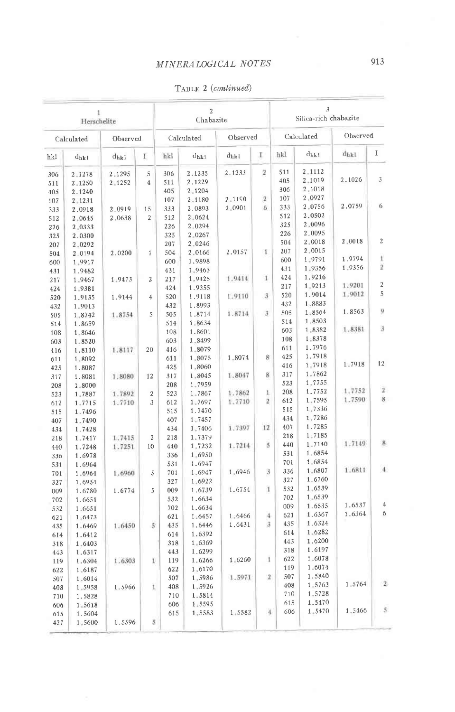| 1<br>Herschelite       |                  |          |                | $\,2$<br>Chabazite |                  |        |                                | 3<br>Silica-rich chabazite |                  |           |                |
|------------------------|------------------|----------|----------------|--------------------|------------------|--------|--------------------------------|----------------------------|------------------|-----------|----------------|
| Observed<br>Calculated |                  |          | Calculated     |                    | Observed         |        | Calculated                     |                            | Observed         |           |                |
| hkl                    | $d_{hkl}$        | $d_{hk}$ | E              | hkl                | $d_{hkl}$        | dhki   | I                              | hkl                        | $d_{hk}$         | $d_{hkl}$ | I              |
| 306                    | 2.1278           | 2.1295   | 5              | 306                | 2.1235           | 2.1233 | $\overline{2}$                 | 511                        | 2.1112           |           |                |
| 511                    | 2.1250           | 2.1252   | $\overline{4}$ | 511                | 2.1229           |        |                                | 405                        | 2,1019           | 2.1026    | 3              |
| 405                    | 2.1240           |          |                | 405                | 2 1204           |        |                                | 306                        | 2.1018<br>2.0927 |           |                |
| 107                    | 2.1231           |          |                | 107                | 2.1180           | 2.1190 | $\overline{2}$                 | 107                        | 2.0756           | 2.0759    | 6              |
| 333                    | 2.0918           | 2.0919   | 15             | 333                | 2.0893           | 2.0901 | 6                              | 333<br>512                 | 2.0502           |           |                |
| 512                    | 2,0645           | 2.0638   | $\overline{2}$ | 512                | 2.0624           |        |                                | 325                        | 2,0096           |           |                |
| 226                    | 2.0333           |          |                | 226<br>325         | 2.0294<br>2.0267 |        |                                | 226                        | 2.0095           |           |                |
| 325                    | 2.0300           |          |                | 207                | 2.0246           |        |                                | 504                        | 2.0018           | 2,0018    | $\overline{2}$ |
| 207<br>504             | 2.0292<br>2.0194 | 2.0200   | $\mathbf 1$    | 504                | 2,0166           | 2.0157 | 1                              | 207                        | 2.0015           |           |                |
| 600                    | 1.9917           |          |                | 600                | 1.9898           |        |                                | 600                        | 1.9791           | 1.9794    | $\mathbf{t}$   |
| 431                    | 1.9482           |          |                | 431                | 1.9463           |        |                                | 431                        | 1.9356           | 1.9356    | $\overline{2}$ |
| 217                    | 1.9467           | 1.9473   | $\overline{2}$ | 217                | 1,9425           | 1.9414 | $\mathbf{1}$                   | 424                        | 1.9216           |           |                |
| 424                    | 1.9381           |          |                | 424                | 1.9355           |        |                                | 217                        | 1.9213           | 1.9201    | $\sqrt{2}$     |
| 520                    | 1.9135           | 1.9144   | $\overline{4}$ | 520                | 1,9118           | 1.9110 | 3                              | 520                        | 1.9014           | 1.9012    | 5              |
| 432                    | 1.9013           |          |                | 432                | 1.8993           |        |                                | 432                        | 1.8883           |           |                |
| 505                    | 1.8742           | 1.8754   | 5              | 505                | 1.8714           | 1.8714 | $\overline{3}$                 | 505                        | $1 - 8564$       | 1.8563    | ŋ              |
| 514                    | 1.8659           |          |                | 514                | 1.8634           |        |                                | 514                        | 1.8503           |           |                |
| 108                    | 1.8646           |          |                | 108                | 1.8601           |        |                                | 603                        | 1.8382           | 1.8381    | 3              |
| 603                    | 1.8520           |          |                | 603                | 1.8499           |        |                                | 108                        | 1.8378           |           |                |
| 416                    | 1.8110           | 1.8117   | 20             | 416                | 1.8079           |        |                                | 611                        | 1.7976           |           |                |
| 611                    | 1.8092           |          |                | 611                | 1.8075           | 1.8074 | 8                              | 425                        | 1.7918           |           | 12             |
| 425                    | 1.8087           |          |                | 425                | 1.8060           |        |                                | 416                        | 1.7918           | 1.7918    |                |
| 317                    | 1.8081           | 1.8080   | 12             | 317                | 1.8045           | 1.8047 | 8                              | 317                        | 1,7862<br>1.7755 |           |                |
| 208                    | 1.8000           |          |                | 208                | 1.7959           |        |                                | 523<br>208                 | 1.7752           | 1.7752    | $\overline{2}$ |
| 523                    | 1.7887           | 1.7892   | $\overline{2}$ | 523                | 1.7867           | 1.7862 | $\mathbf{1}$<br>$\overline{2}$ | 612                        | 1,7595           | 1.7590    | 8              |
| 612                    | 1.7715           | 1.7710   | 3              | 612                | 1.7697           | 1,7710 |                                | 515                        | 1,7336           |           |                |
| 515                    | 1.7496           |          |                | 515                | 1.7470           |        |                                | 434                        | 1,7286           |           |                |
| 407                    | 1.7490           |          |                | 407<br>434         | 1.7457<br>1.7406 | 1.7397 | 12                             | 407                        | 1.7285           |           |                |
| 434<br>218             | 1.7428<br>1.7417 | 1.7415   | $\overline{a}$ | 218                | 1.7379           |        |                                | 218                        | 1,7185           |           |                |
| 440                    | 1.7248           | 1.7251   | 10             | 440                | 1.7232           | 1.7214 | 5                              | 440                        | 1.7140           | 1.7149    | 8              |
| 336                    | 1.6978           |          |                | 336                | 1.6950           |        |                                | 531                        | 1.6854           |           |                |
| 531                    | 1.6964           |          |                | 531                | 1.6947           |        |                                | 701                        | 1.6854           |           |                |
| 701                    | 1.6964           | 1.6960   | 5              | 701                | 1.6947           | 1.6946 | $\overline{\mathbf{3}}$        | 336                        | 1.6807           | 1.6811    | $\overline{4}$ |
| 327                    | 1.6954           |          |                | 327                | 1.6922           |        |                                | 327                        | 1.6760           |           |                |
| 009                    | 1.6780           | 1.6774   | 5              | 009                | 1.6739           | 1.6754 | ï                              | 532                        | 1,6539           |           |                |
| 702                    | 1.6651           |          |                | 532                | 1.6634           |        |                                | 702                        | 1.6539           |           |                |
| 532                    | 1.6651           |          |                | 702                | 1.6634           |        |                                | 009                        | 1.6535           | 1.6537    | 4<br>6         |
| 621                    | 1.6473           |          |                | 621                | 1.6457           | 1.6466 | 4                              | 621                        | 1.6367           | 1.6364    |                |
| 435                    | 1.6469           | 1.6450   | $\overline{5}$ | 435                | 1.6446           | 1.6431 | 3                              | 435                        | 1.6324           |           |                |
| 614                    | 1.6412           |          |                | 614                | 1.6392           |        |                                | 614                        | 1.6282<br>1.6200 |           |                |
| 318                    | 1.6403           |          |                | 318                | 1.6369           |        |                                | 443                        | 1.6197           |           |                |
| 443                    | 1.6317           |          |                | 443                | 1,6299           |        | 1                              | 318<br>622                 | 1.6078           |           |                |
| 119                    | 1.6304           | 1.6303   | 1              | 119                | 1.6266           | 1.6260 |                                | 119                        | 1.6074           |           |                |
| 622                    | 1.6187           |          |                | 622                | 1,6170<br>1.5986 | 1.5971 | $\mathbf{2}$                   | 507                        | 1.5840           |           |                |
| 507                    | 1.6014           |          | 1              | 507<br>408         | 1.5926           |        |                                | 408                        | 1.5763           | 1.5764    | $\bar{z}$      |
| 408<br>710             | 1.5958<br>1.5828 | 1.5966   |                | 710                | 1.5814           |        |                                | 710                        | 1.5728           |           |                |
| 606                    | 1.5618           |          |                | 606                | 1.5595           |        |                                | 615                        | 1.5470           |           |                |
| 615                    | 1.5604           |          |                | 615                | 1.5583           | 1.5582 | 4                              | 606                        | 1.5470           | 1.5466    | $\overline{S}$ |
| 427                    | 1-5600           | 1.5596   | 5              |                    |                  |        |                                |                            |                  |           |                |

TABLE 2 (continued)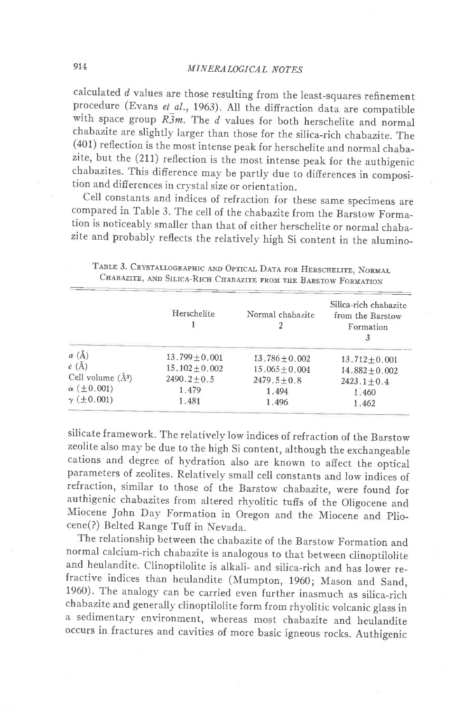calculated  $d$  values are those resulting from the least-squares refinement procedure (Evans et al., 1963). All the diffraction data are compatible with space group  $R\overline{3}m$ . The  $d$  values for both herschelite and normal chabazite are slightly larger than those for the silica-rich chabazite. The (401) reflection is the most intense peak for herschelite and normal chabazite, but the (211) reflection is the most intense peak for the authigenic chabazites. This difference mav be partly due to differences in composition and differences in crystal size or orientation.

cell constants and indices of refraction for these same specimens are compared in Table 3. The cell of the chabazite from the Barstow Formation is noticeably smaller than that of either herschelite or normal chabazite and probably reflects the relatively high Si content in the alumino-

|                         | Herschelite        | Normal chabazite   | Silica-rich chabazite<br>from the Barstow<br>Formation |
|-------------------------|--------------------|--------------------|--------------------------------------------------------|
| $a\;(\AA)$              | $13.799 + 0.001$   | $13.786 \pm 0.002$ | $13.712 \pm 0.001$                                     |
| $c(\AA)$                | $15.102 \pm 0.002$ | $15.065 \pm 0.004$ | $14.882 \pm 0.002$                                     |
| Cell volume $(\AA^3)$   | $2490.2 + 0.5$     | $2479.5 + 0.8$     | $2423.1 \pm 0.4$                                       |
| $\alpha$ ( $\pm$ 0.001) | 1.479              | 1.494              | 1.460                                                  |
| $\gamma$ ( $\pm$ 0.001) | 1.481              | 1.496              | 1.462                                                  |

TABLE 3. CRYSTALLOGRAPHIC AND OPTICAL DATA FOR HERSCHELITE, NORMAL CHABAZITE, AND SILICA-RICH CHABAZITE FROM THE BARSTOW FORMATION

silicate framework. The relatively low indices of refraction of the Barstow zeolite also may be due to the high Si content, although the exchangeable cations and degree of hvdration also are known to affect the optical parameters of zeolites. Relatively small cell constants and low indices of refraction, similar to those of the Barstow chabazite, were found for authigenic chabazites from altered rhyolitic tuffs of the oligocene and Miocene John Day Formation in Oregon and the Miocene and plio\_ cene(?) Belted Range Tuff in Nevada.

The relationship between the chabazite of the Barstow Formation and normal calcium-rich chabazite is analogous to that between clinoptilolite and heulandite. Clinoptilolite is alkali- and silica-rich and has lower refractive indices than heulandite (Mumpton, 1960; Mason and Sand, 1960). The analogy can be carried even further inasmuch as silica-rich chabazite and generally clinoptilolite form from rhyolitic volcanic glass in a sedimentary environment, whereas most chabazite and heulandite occurs in fractures and cavities of more basic igneous rocks. Authigenic